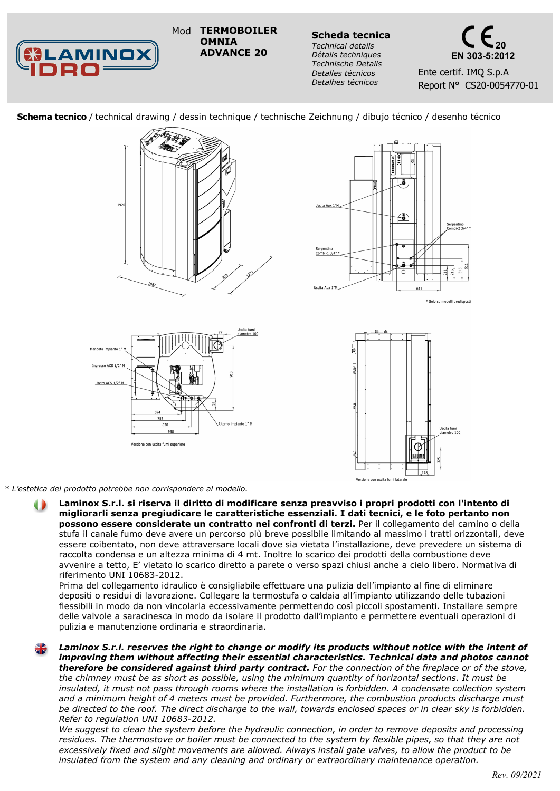**BLAMINOX**<br>IDDO===

**TERMOBOILER OMNIA ADVANCE 20**

**Scheda tecnica** *Technical details Détails techniques Technische Details Detalles técnicos Detalhes técnicos*



 **Schema tecnico** / technical drawing / dessin technique / technische Zeichnung / dibujo técnico / desenho técnico







*\* L'estetica del prodotto potrebbe non corrispondere al modello.*

**Laminox S.r.l. si riserva il diritto di modificare senza preavviso i propri prodotti con l'intento di migliorarli senza pregiudicare le caratteristiche essenziali. I dati tecnici, e le foto pertanto non possono essere considerate un contratto nei confronti di terzi.** Per il collegamento del camino o della stufa il canale fumo deve avere un percorso più breve possibile limitando al massimo i tratti orizzontali, deve essere coibentato, non deve attraversare locali dove sia vietata l'installazione, deve prevedere un sistema di raccolta condensa e un altezza minima di 4 mt. Inoltre lo scarico dei prodotti della combustione deve avvenire a tetto, E' vietato lo scarico diretto a parete o verso spazi chiusi anche a cielo libero. Normativa di riferimento UNI 10683-2012.

Prima del collegamento idraulico è consigliabile effettuare una pulizia dell'impianto al fine di eliminare depositi o residui di lavorazione. Collegare la termostufa o caldaia all'impianto utilizzando delle tubazioni flessibili in modo da non vincolarla eccessivamente permettendo così piccoli spostamenti. Installare sempre delle valvole a saracinesca in modo da isolare il prodotto dall'impianto e permettere eventuali operazioni di pulizia e manutenzione ordinaria e straordinaria.

*Laminox S.r.l. reserves the right to change or modify its products without notice with the intent of improving them without affecting their essential characteristics. Technical data and photos cannot therefore be considered against third party contract. For the connection of the fireplace or of the stove, the chimney must be as short as possible, using the minimum quantity of horizontal sections. It must be insulated, it must not pass through rooms where the installation is forbidden. A condensate collection system and a minimum height of 4 meters must be provided. Furthermore, the combustion products discharge must be directed to the roof. The direct discharge to the wall, towards enclosed spaces or in clear sky is forbidden. Refer to regulation UNI 10683-2012.*

*We suggest to clean the system before the hydraulic connection, in order to remove deposits and processing residues. The thermostove or boiler must be connected to the system by flexible pipes, so that they are not excessively fixed and slight movements are allowed. Always install gate valves, to allow the product to be insulated from the system and any cleaning and ordinary or extraordinary maintenance operation.*